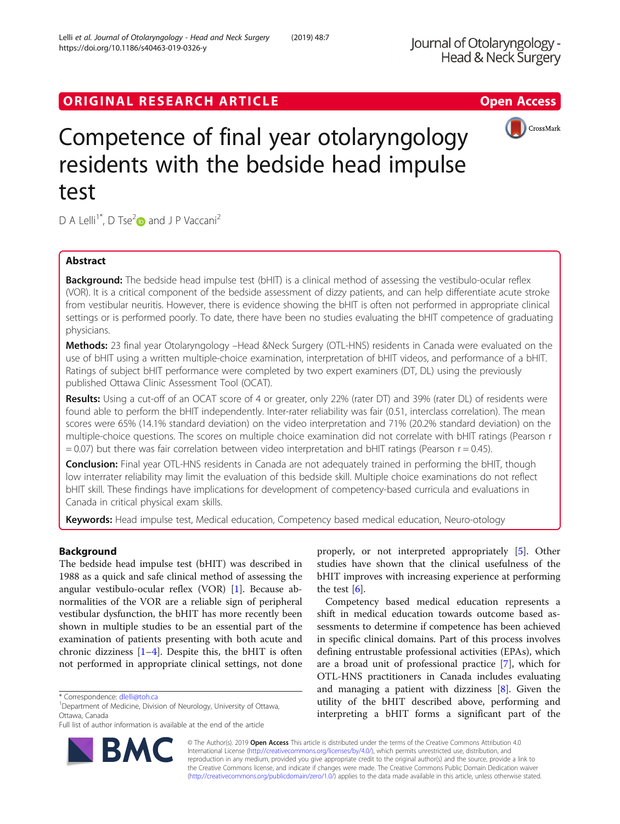# ORIGINAL RESEARCH ARTICLE **External of the Contract Contract Contract Contract Contract Contract Contract Contract Contract Contract Contract Contract Contract Contract Contract Contract Contract Contract Contract Contract**

# Competence of final year otolaryngology residents with the bedside head impulse test

D A Lelli<sup>1\*</sup>, D Tse<sup>2</sup> $\bullet$  and J P Vaccani<sup>2</sup>

# Abstract

**Background:** The bedside head impulse test (bHIT) is a clinical method of assessing the vestibulo-ocular reflex (VOR). It is a critical component of the bedside assessment of dizzy patients, and can help differentiate acute stroke from vestibular neuritis. However, there is evidence showing the bHIT is often not performed in appropriate clinical settings or is performed poorly. To date, there have been no studies evaluating the bHIT competence of graduating physicians.

Methods: 23 final year Otolaryngology -Head &Neck Surgery (OTL-HNS) residents in Canada were evaluated on the use of bHIT using a written multiple-choice examination, interpretation of bHIT videos, and performance of a bHIT. Ratings of subject bHIT performance were completed by two expert examiners (DT, DL) using the previously published Ottawa Clinic Assessment Tool (OCAT).

Results: Using a cut-off of an OCAT score of 4 or greater, only 22% (rater DT) and 39% (rater DL) of residents were found able to perform the bHIT independently. Inter-rater reliability was fair (0.51, interclass correlation). The mean scores were 65% (14.1% standard deviation) on the video interpretation and 71% (20.2% standard deviation) on the multiple-choice questions. The scores on multiple choice examination did not correlate with bHIT ratings (Pearson r  $= 0.07$ ) but there was fair correlation between video interpretation and bHIT ratings (Pearson r = 0.45).

**Conclusion:** Final year OTL-HNS residents in Canada are not adequately trained in performing the bHIT, though low interrater reliability may limit the evaluation of this bedside skill. Multiple choice examinations do not reflect bHIT skill. These findings have implications for development of competency-based curricula and evaluations in Canada in critical physical exam skills.

Keywords: Head impulse test, Medical education, Competency based medical education, Neuro-otology

# Background

The bedside head impulse test (bHIT) was described in 1988 as a quick and safe clinical method of assessing the angular vestibulo-ocular reflex (VOR) [[1\]](#page-2-0). Because abnormalities of the VOR are a reliable sign of peripheral vestibular dysfunction, the bHIT has more recently been shown in multiple studies to be an essential part of the examination of patients presenting with both acute and chronic dizziness  $[1-4]$  $[1-4]$  $[1-4]$ . Despite this, the bHIT is often not performed in appropriate clinical settings, not done

\* Correspondence: [dlelli@toh.ca](mailto:dlelli@toh.ca) <sup>1</sup>

<sup>1</sup>Department of Medicine, Division of Neurology, University of Ottawa, Ottawa, Canada

Full list of author information is available at the end of the article

properly, or not interpreted appropriately [[5\]](#page-2-0). Other studies have shown that the clinical usefulness of the bHIT improves with increasing experience at performing the test  $[6]$  $[6]$ .

Competency based medical education represents a shift in medical education towards outcome based assessments to determine if competence has been achieved in specific clinical domains. Part of this process involves defining entrustable professional activities (EPAs), which are a broad unit of professional practice [[7\]](#page-3-0), which for OTL-HNS practitioners in Canada includes evaluating and managing a patient with dizziness [[8\]](#page-3-0). Given the utility of the bHIT described above, performing and interpreting a bHIT forms a significant part of the

© The Author(s). 2019 **Open Access** This article is distributed under the terms of the Creative Commons Attribution 4.0 International License [\(http://creativecommons.org/licenses/by/4.0/](http://creativecommons.org/licenses/by/4.0/)), which permits unrestricted use, distribution, and reproduction in any medium, provided you give appropriate credit to the original author(s) and the source, provide a link to the Creative Commons license, and indicate if changes were made. The Creative Commons Public Domain Dedication waiver [\(http://creativecommons.org/publicdomain/zero/1.0/](http://creativecommons.org/publicdomain/zero/1.0/)) applies to the data made available in this article, unless otherwise stated.



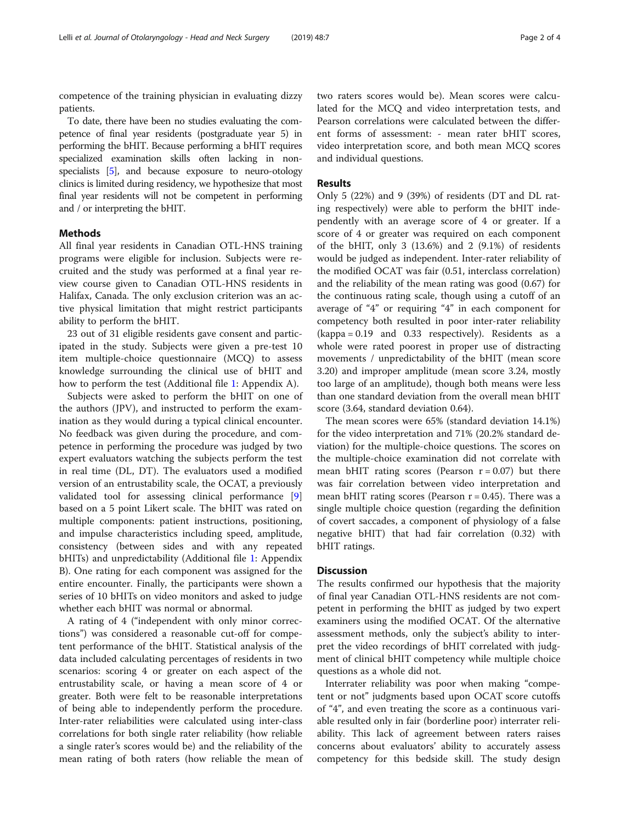competence of the training physician in evaluating dizzy patients.

To date, there have been no studies evaluating the competence of final year residents (postgraduate year 5) in performing the bHIT. Because performing a bHIT requires specialized examination skills often lacking in nonspecialists [\[5\]](#page-2-0), and because exposure to neuro-otology clinics is limited during residency, we hypothesize that most final year residents will not be competent in performing and / or interpreting the bHIT.

# Methods

All final year residents in Canadian OTL-HNS training programs were eligible for inclusion. Subjects were recruited and the study was performed at a final year review course given to Canadian OTL-HNS residents in Halifax, Canada. The only exclusion criterion was an active physical limitation that might restrict participants ability to perform the bHIT.

23 out of 31 eligible residents gave consent and participated in the study. Subjects were given a pre-test 10 item multiple-choice questionnaire (MCQ) to assess knowledge surrounding the clinical use of bHIT and how to perform the test (Additional file [1:](#page-2-0) Appendix A).

Subjects were asked to perform the bHIT on one of the authors (JPV), and instructed to perform the examination as they would during a typical clinical encounter. No feedback was given during the procedure, and competence in performing the procedure was judged by two expert evaluators watching the subjects perform the test in real time (DL, DT). The evaluators used a modified version of an entrustability scale, the OCAT, a previously validated tool for assessing clinical performance [\[9](#page-3-0)] based on a 5 point Likert scale. The bHIT was rated on multiple components: patient instructions, positioning, and impulse characteristics including speed, amplitude, consistency (between sides and with any repeated bHITs) and unpredictability (Additional file [1](#page-2-0): Appendix B). One rating for each component was assigned for the entire encounter. Finally, the participants were shown a series of 10 bHITs on video monitors and asked to judge whether each bHIT was normal or abnormal.

A rating of 4 ("independent with only minor corrections") was considered a reasonable cut-off for competent performance of the bHIT. Statistical analysis of the data included calculating percentages of residents in two scenarios: scoring 4 or greater on each aspect of the entrustability scale, or having a mean score of 4 or greater. Both were felt to be reasonable interpretations of being able to independently perform the procedure. Inter-rater reliabilities were calculated using inter-class correlations for both single rater reliability (how reliable a single rater's scores would be) and the reliability of the mean rating of both raters (how reliable the mean of

two raters scores would be). Mean scores were calculated for the MCQ and video interpretation tests, and Pearson correlations were calculated between the different forms of assessment: - mean rater bHIT scores, video interpretation score, and both mean MCQ scores and individual questions.

## Results

Only 5 (22%) and 9 (39%) of residents (DT and DL rating respectively) were able to perform the bHIT independently with an average score of 4 or greater. If a score of 4 or greater was required on each component of the bHIT, only 3 (13.6%) and 2 (9.1%) of residents would be judged as independent. Inter-rater reliability of the modified OCAT was fair (0.51, interclass correlation) and the reliability of the mean rating was good (0.67) for the continuous rating scale, though using a cutoff of an average of "4" or requiring "4" in each component for competency both resulted in poor inter-rater reliability (kappa = 0.19 and 0.33 respectively). Residents as a whole were rated poorest in proper use of distracting movements / unpredictability of the bHIT (mean score 3.20) and improper amplitude (mean score 3.24, mostly too large of an amplitude), though both means were less than one standard deviation from the overall mean bHIT score (3.64, standard deviation 0.64).

The mean scores were 65% (standard deviation 14.1%) for the video interpretation and 71% (20.2% standard deviation) for the multiple-choice questions. The scores on the multiple-choice examination did not correlate with mean bHIT rating scores (Pearson  $r = 0.07$ ) but there was fair correlation between video interpretation and mean bHIT rating scores (Pearson  $r = 0.45$ ). There was a single multiple choice question (regarding the definition of covert saccades, a component of physiology of a false negative bHIT) that had fair correlation (0.32) with bHIT ratings.

## **Discussion**

The results confirmed our hypothesis that the majority of final year Canadian OTL-HNS residents are not competent in performing the bHIT as judged by two expert examiners using the modified OCAT. Of the alternative assessment methods, only the subject's ability to interpret the video recordings of bHIT correlated with judgment of clinical bHIT competency while multiple choice questions as a whole did not.

Interrater reliability was poor when making "competent or not" judgments based upon OCAT score cutoffs of "4", and even treating the score as a continuous variable resulted only in fair (borderline poor) interrater reliability. This lack of agreement between raters raises concerns about evaluators' ability to accurately assess competency for this bedside skill. The study design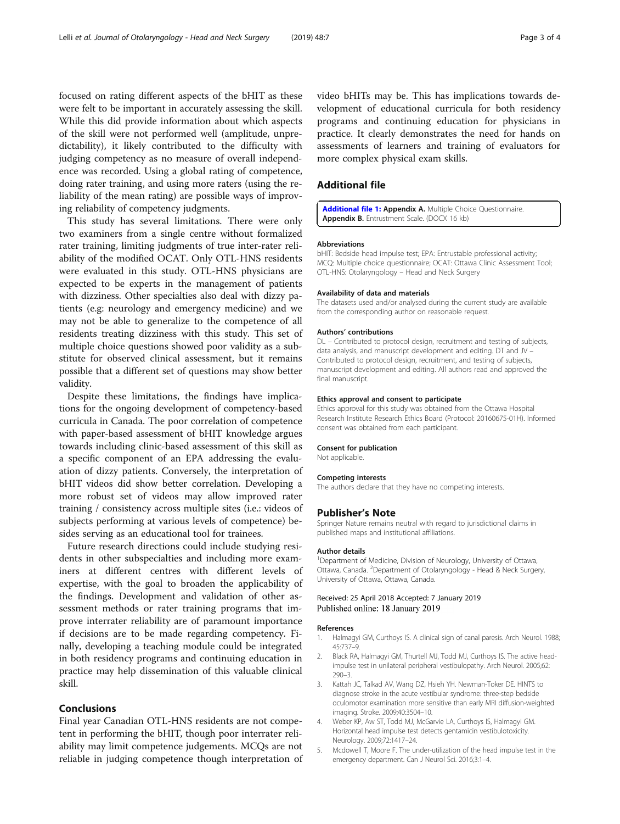<span id="page-2-0"></span>focused on rating different aspects of the bHIT as these were felt to be important in accurately assessing the skill. While this did provide information about which aspects of the skill were not performed well (amplitude, unpredictability), it likely contributed to the difficulty with judging competency as no measure of overall independence was recorded. Using a global rating of competence, doing rater training, and using more raters (using the reliability of the mean rating) are possible ways of improving reliability of competency judgments.

This study has several limitations. There were only two examiners from a single centre without formalized rater training, limiting judgments of true inter-rater reliability of the modified OCAT. Only OTL-HNS residents were evaluated in this study. OTL-HNS physicians are expected to be experts in the management of patients with dizziness. Other specialties also deal with dizzy patients (e.g: neurology and emergency medicine) and we may not be able to generalize to the competence of all residents treating dizziness with this study. This set of multiple choice questions showed poor validity as a substitute for observed clinical assessment, but it remains possible that a different set of questions may show better validity.

Despite these limitations, the findings have implications for the ongoing development of competency-based curricula in Canada. The poor correlation of competence with paper-based assessment of bHIT knowledge argues towards including clinic-based assessment of this skill as a specific component of an EPA addressing the evaluation of dizzy patients. Conversely, the interpretation of bHIT videos did show better correlation. Developing a more robust set of videos may allow improved rater training / consistency across multiple sites (i.e.: videos of subjects performing at various levels of competence) besides serving as an educational tool for trainees.

Future research directions could include studying residents in other subspecialties and including more examiners at different centres with different levels of expertise, with the goal to broaden the applicability of the findings. Development and validation of other assessment methods or rater training programs that improve interrater reliability are of paramount importance if decisions are to be made regarding competency. Finally, developing a teaching module could be integrated in both residency programs and continuing education in practice may help dissemination of this valuable clinical skill.

# Conclusions

Final year Canadian OTL-HNS residents are not competent in performing the bHIT, though poor interrater reliability may limit competence judgements. MCQs are not reliable in judging competence though interpretation of video bHITs may be. This has implications towards development of educational curricula for both residency programs and continuing education for physicians in practice. It clearly demonstrates the need for hands on assessments of learners and training of evaluators for more complex physical exam skills.

## Additional file

[Additional file 1:](https://doi.org/10.1186/s40463-019-0326-y) Appendix A. Multiple Choice Questionnaire. Appendix B. Entrustment Scale. (DOCX 16 kb)

#### Abbreviations

bHIT: Bedside head impulse test; EPA: Entrustable professional activity; MCQ: Multiple choice questionnaire; OCAT: Ottawa Clinic Assessment Tool; OTL-HNS: Otolaryngology – Head and Neck Surgery

#### Availability of data and materials

The datasets used and/or analysed during the current study are available from the corresponding author on reasonable request.

#### Authors' contributions

DL – Contributed to protocol design, recruitment and testing of subjects, data analysis, and manuscript development and editing. DT and JV – Contributed to protocol design, recruitment, and testing of subjects, manuscript development and editing. All authors read and approved the final manuscript.

#### Ethics approval and consent to participate

Ethics approval for this study was obtained from the Ottawa Hospital Research Institute Research Ethics Board (Protocol: 20160675-01H). Informed consent was obtained from each participant.

#### Consent for publication

Not applicable.

#### Competing interests

The authors declare that they have no competing interests.

#### Publisher's Note

Springer Nature remains neutral with regard to jurisdictional claims in published maps and institutional affiliations.

#### Author details

<sup>1</sup> Department of Medicine, Division of Neurology, University of Ottawa, Ottawa, Canada. <sup>2</sup> Department of Otolaryngology - Head & Neck Surgery, University of Ottawa, Ottawa, Canada.

### Received: 25 April 2018 Accepted: 7 January 2019 Published online: 18 January 2019

#### References

- 1. Halmagyi GM, Curthoys IS. A clinical sign of canal paresis. Arch Neurol. 1988; 45:737–9.
- 2. Black RA, Halmagyi GM, Thurtell MJ, Todd MJ, Curthoys IS. The active headimpulse test in unilateral peripheral vestibulopathy. Arch Neurol. 2005;62: 290–3.
- 3. Kattah JC, Talkad AV, Wang DZ, Hsieh YH. Newman-Toker DE. HINTS to diagnose stroke in the acute vestibular syndrome: three-step bedside oculomotor examination more sensitive than early MRI diffusion-weighted imaging. Stroke. 2009;40:3504–10.
- 4. Weber KP, Aw ST, Todd MJ, McGarvie LA, Curthoys IS, Halmagyi GM. Horizontal head impulse test detects gentamicin vestibulotoxicity. Neurology. 2009;72:1417–24.
- 5. Mcdowell T, Moore F. The under-utilization of the head impulse test in the emergency department. Can J Neurol Sci. 2016;3:1–4.